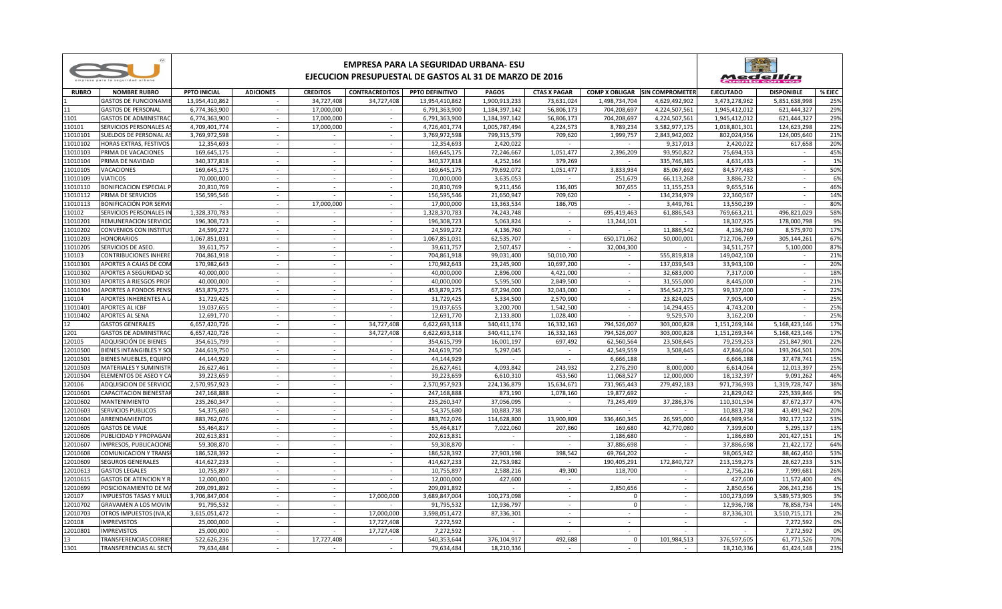|                      |                                                               | EMPRESA PARA LA SEGURIDAD URBANA- ESU<br>EJECUCION PRESUPUESTAL DE GASTOS AL 31 DE MARZO DE 2016 |                         |                  |                          |                           |                         |                         |                          |                                       |                         | Medellín          |            |  |
|----------------------|---------------------------------------------------------------|--------------------------------------------------------------------------------------------------|-------------------------|------------------|--------------------------|---------------------------|-------------------------|-------------------------|--------------------------|---------------------------------------|-------------------------|-------------------|------------|--|
| <b>RUBRO</b>         | <b>NOMBRE RUBRO</b>                                           | <b>PPTO INICIAL</b>                                                                              | <b>ADICIONES</b>        | <b>CREDITOS</b>  | <b>CONTRACREDITOS</b>    | PPTO DEFINITIVO           | PAGOS                   | <b>CTAS X PAGAR</b>     |                          | <b>COMP X OBLIGAR SIN COMPROMETER</b> | <b>EJECUTADO</b>        | <b>DISPONIBLE</b> | % EJEC     |  |
|                      | <b>GASTOS DE FUNCIONAMI</b>                                   | 13,954,410,862                                                                                   |                         | 34,727,408       | 34,727,408               | 13,954,410,862            | 1,900,913,233           | 73,631,024              | 1,498,734,704            | 4,629,492,902                         | 3,473,278,962           | 5,851,638,998     | 25%        |  |
| 11                   | <b>GASTOS DE PERSONAL</b>                                     | 6,774,363,900                                                                                    | $\sim$                  | 17,000,000       | $\sim$                   | 6,791,363,900             | 1,184,397,142           | 56,806,173              | 704,208,697              | 4,224,507,561                         | 1,945,412,012           | 621,444,327       | 29%        |  |
| 1101                 | <b>GASTOS DE ADMINISTRAC</b>                                  | 6,774,363,900                                                                                    | $\sim$                  | 17,000,000       |                          | 6,791,363,900             | 1,184,397,142           | 56,806,173              | 704,208,697              | 4,224,507,561                         | 1,945,412,012           | 621,444,327       | 29%        |  |
| 110101               | SERVICIOS PERSONALES A!                                       | 4,709,401,774                                                                                    | $\sim$                  | 17,000,000       | $\sim$                   | 4,726,401,774             | 1,005,787,494           | 4,224,573               | 8,789,234                | 3,582,977,175                         | 1,018,801,301           | 124,623,298       | 22%        |  |
| 11010101             | SUELDOS DE PERSONAL A!                                        | 3,769,972,598                                                                                    | $\sim$                  | $\sim$           | $\sim$                   | 3,769,972,598             | 799,315,579             | 709,620                 | 1,999,757                | 2,843,942,002                         | 802,024,956             | 124,005,640       | 21%        |  |
| 11010102             | <b>HORAS EXTRAS, FESTIVOS</b>                                 | 12.354.693                                                                                       | $\sim$                  | $\sim$           | $\sim$                   | 12.354.693                | 2.420.022               |                         |                          | 9.317.013                             | 2.420.022               | 617.658           | 20%        |  |
| 1010103              | PRIMA DE VACACIONES                                           | 169,645,175                                                                                      | $\blacksquare$          | $\sim$           | $\sim$                   | 169,645,175               | 72,246,667              | 1,051,477               | 2,396,209                | 93,950,822                            | 75,694,353              | $\sim$            | 45%        |  |
| 11010104             | PRIMA DE NAVIDAD                                              | 340,377,818                                                                                      | $\sim$                  | $\sim$           | $\sim$                   | 340, 377, 818             | 4,252,164               | 379,269                 |                          | 335,746,385                           | 4,631,433               | $\sim$            | 1%         |  |
| 11010105             | VACACIONES                                                    | 169,645,175                                                                                      | $\sim$                  | $\sim$           | $\sim$                   | 169,645,175               | 79,692,072              | 1,051,477               | 3,833,934                | 85,067,692                            | 84,577,483              | $\sim$            | 50%        |  |
| 11010109             | <b>VIATICOS</b>                                               | 70,000,000                                                                                       | $\sim$                  | $\sim$           |                          | 70,000,000                | 3,635,053               |                         | 251,679                  | 66,113,268                            | 3,886,732               |                   | 6%         |  |
| 11010110             | <b>BONIFICACION ESPECIAL F</b>                                | 20,810,769                                                                                       | $\sim$                  | $\sim$           | $\sim$                   | 20,810,769                | 9,211,456               | 136,405                 | 307,655                  | 11,155,253                            | 9,655,516               | $\sim$            | 46%        |  |
| 11010112             | PRIMA DE SERVICIOS                                            | 156,595,546                                                                                      | $\sim$                  | $\sim$           | $\omega$                 | 156,595,546               | 21,650,947              | 709,620                 | $\blacksquare$           | 134,234,979                           | 22,360,567              |                   | 14%        |  |
| 11010113             | BONIFICACIÓN POR SERVI                                        | $\sim$                                                                                           | $\sim$                  | 17,000,000       | $\sim$                   | 17,000,000                | 13,363,534              | 186,705                 | $\overline{\phantom{a}}$ | 3,449,761                             | 13,550,239              | $\sim$            | 80%        |  |
| 110102               | SERVICIOS PERSONALES IN                                       | 1.328.370.783                                                                                    | $\sim$                  | $\sim$           | $\sim$                   | 1,328,370,783             | 74.243.748              | $\sim$                  | 695,419,463              | 61,886,543                            | 769,663,211             | 496.821.029       | 58%        |  |
| 11010201             | REMUNERACION SERVICIO                                         | 196,308,723                                                                                      | $\sim$                  | $\sim$           | $\sim$                   | 196,308,723               | 5,063,824               | $\sim$                  | 13,244,101               |                                       | 18,307,925              | 178,000,798       | 9%         |  |
| 11010202             | CONVENIOS CON INSTITU                                         | 24,599,272                                                                                       | $\sim$                  | $\sim$           | $\sim$                   | 24,599,272                | 4,136,760               | $\sim$                  |                          | 11,886,542                            | 4,136,760               | 8,575,970         | 17%        |  |
| 11010203             | <b>HONORARIOS</b>                                             | 1,067,851,031                                                                                    | $\sim$                  | $\sim$           | $\sim$                   | 1,067,851,031             | 62,535,707              | $\sim$                  | 650,171,062              | 50,000,001                            | 712.706.769             | 305,144,261       | 67%        |  |
| 11010205             | SERVICIOS DE ASEO.                                            | 39,611,757                                                                                       | $\equiv$                | $\sim$           | $\sim$                   | 39,611,757                | 2,507,457               | $\sim$                  | 32,004,300               |                                       | 34,511,757              | 5,100,000         | 87%        |  |
| 110103               | CONTRIBUCIONES INHERE                                         | 704,861,918                                                                                      | $\blacksquare$          | $\sim$           | $\sim$                   | 704,861,918               | 99,031,400              | 50,010,700              |                          | 555,819,818                           | 149,042,100             |                   | 21%        |  |
| 11010301             | APORTES A CAJAS DE COM                                        | 170.982.643                                                                                      | $\sim$                  | $\sim$           | $\sim$                   | 170.982.643               | 23.245.900              | 10.697.200              | $\sim$                   | 137.039.543                           | 33.943.100              | $\sim$            | 20%        |  |
| 11010302             | <b>APORTES A SEGURIDAD SO</b>                                 | 40.000.000                                                                                       | $\sim$<br>$\mathcal{L}$ | $\sim$<br>$\sim$ | $\sim$<br>$\sim$         | 40.000.000                | 2,896,000               | 4.421.000               | $\sim$<br>$\sim$         | 32,683,000                            | 7,317,000               | $\sim$            | 18%<br>21% |  |
| 11010303<br>11010304 | <b>APORTES A RIESGOS PROI</b><br><b>APORTES A FONDOS PENS</b> | 40.000.000<br>453,879,275                                                                        | $\sim$                  | $\sim$           | $\sim$                   | 40,000,000                | 5,595,500<br>67,294,000 | 2,849,500<br>32,043,000 | $\sim$                   | 31,555,000                            | 8,445,000               | $\sim$            |            |  |
| 110104               | APORTES INHERENTES A                                          | 31,729,425                                                                                       | ÷.                      | $\sim$           |                          | 453,879,275<br>31,729,425 | 5,334,500               | 2,570,900               | $\sim$                   | 354,542,275<br>23,824,025             | 99,337,000<br>7,905,400 |                   | 22%<br>25% |  |
| 11010401             | APORTES AL ICBF                                               | 19,037,655                                                                                       | $\sim$                  | $\sim$           | $\sim$                   | 19,037,655                | 3,200,700               | 1,542,500               | $\sim$                   | 14,294,455                            | 4,743,200               | $\sim$            | 25%        |  |
| 11010402             | <b>APORTES AL SENA</b>                                        | 12,691,770                                                                                       | $\omega$                | $\sim$           |                          | 12.691.770                | 2,133,800               | 1,028,400               |                          | 9,529,570                             | 3,162,200               |                   | 25%        |  |
| 12                   | <b>GASTOS GENERALES</b>                                       | 6,657,420,726                                                                                    | $\sim$                  | $\sim$           | 34,727,408               | 6,622,693,318             | 340,411,174             | 16,332,163              | 794,526,007              | 303,000,828                           | 1,151,269,344           | 5,168,423,146     | 17%        |  |
| 1201                 | <b>GASTOS DE ADMINISTRAC</b>                                  | 6,657,420,726                                                                                    | $\sim$                  | $\sim$           | 34,727,408               | 6,622,693,318             | 340.411.174             | 16,332,163              | 794.526.007              | 303,000,828                           | 1.151.269.344           | 5.168.423.146     | 17%        |  |
| 120105               | ADQUISICIÓN DE BIENES                                         | 354,615,799                                                                                      | $\sim$                  | $\sim$           |                          | 354,615,799               | 16,001,197              | 697,492                 | 62,560,564               | 23,508,645                            | 79,259,253              | 251,847,901       | 22%        |  |
| 12010500             | <b>BIENES INTANGIBLES Y SC</b>                                | 244.619.750                                                                                      | $\sim$                  | $\sim$           | $\sim$                   | 244.619.750               | 5,297,045               | $\sim$                  | 42.549.559               | 3,508,645                             | 47,846,604              | 193,264,501       | 20%        |  |
| 12010501             | BIENES MUEBLES, EQUIPO                                        | 44,144,929                                                                                       | $\sim$                  | $\sim$           |                          | 44,144,929                |                         |                         | 6,666,188                |                                       | 6,666,188               | 37,478,741        | 15%        |  |
| 12010503             | MATERIALES Y SUMINISTI                                        | 26,627,461                                                                                       | $\equiv$                | $\sim$           | $\overline{\phantom{a}}$ | 26,627,461                | 4,093,842               | 243,932                 | 2,276,290                | 8,000,000                             | 6,614,064               | 12,013,397        | 25%        |  |
| 12010504             | ELEMENTOS DE ASEO Y C                                         | 39,223,659                                                                                       | $\blacksquare$          | $\sim$           | $\sim$                   | 39,223,659                | 6,610,310               | 453,560                 | 11,068,527               | 12,000,000                            | 18,132,397              | 9,091,262         | 46%        |  |
| 120106               | <b>ADQUISICION DE SERVICIO</b>                                | 2,570,957,923                                                                                    | $\sim$                  | $\sim$           | $\sim$                   | 2,570,957,923             | 224,136,879             | 15,634,671              | 731,965,443              | 279,492,183                           | 971,736,993             | 1,319,728,747     | 38%        |  |
| 12010601             | CAPACITACION BIENESTAI                                        | 247,168,888                                                                                      | $\sim$                  | $\sim$           | $\sim$                   | 247,168,888               | 873,190                 | 1,078,160               | 19,877,692               |                                       | 21,829,042              | 225,339,846       | 9%         |  |
| 12010602             | <b>MANTENIMIENTO</b>                                          | 235.260.347                                                                                      | $\sim$                  | $\sim$           | $\sim$                   | 235.260.347               | 37,056,095              | $\sim$                  | 73.245.499               | 37,286,376                            | 110.301.594             | 87.672.377        | 47%        |  |
| 12010603             | <b>SERVICIOS PUBLICOS</b>                                     | 54.375.680                                                                                       | $\sim$                  | $\sim$           | $\sim$                   | 54.375.680                | 10.883.738              |                         |                          | $\sim$                                | 10.883.738              | 43.491.942        | 20%        |  |
| 12010604             | ARRENDAMIENTOS                                                | 883,762,076                                                                                      | $\sim$                  | $\mathcal{L}$    | $\overline{a}$           | 883,762,076               | 114,628,800             | 13,900,809              | 336,460,345              | 26,595,000                            | 464,989,954             | 392,177,122       | 53%        |  |
| 12010605             | <b>GASTOS DE VIAJE</b>                                        | 55.464.817                                                                                       | ÷.                      | $\sim$           | $\sim$                   | 55,464,817                | 7,022,060               | 207,860                 | 169.680                  | 42,770,080                            | 7,399,600               | 5.295.137         | 13%        |  |
| 12010606             | PUBLICIDAD Y PROPAGAN                                         | 202,613,831                                                                                      | ÷.                      | $\sim$           |                          | 202,613,831               |                         |                         | 1,186,680                |                                       | 1,186,680               | 201,427,151       | 1%         |  |
| 12010607             | <b>IMPRESOS, PUBLICACIONE</b>                                 | 59.308.870                                                                                       | $\sim$                  | $\sim$           | $\sim$                   | 59,308,870                | $\sim$                  | $\sim$                  | 37,886,698               | $\sim$                                | 37.886.698              | 21.422.172        | 64%        |  |
| 12010608             | COMUNICACION Y TRANS                                          | 186,528,392                                                                                      |                         |                  |                          | 186,528,392               | 27.903.198              | 398,542                 | 69,764,202               |                                       | 98.065.942              | 88.462.450        | 53%        |  |
| 12010609             | SEGUROS GENERALES                                             | 414.627.233                                                                                      | $\sim$                  | $\sim$           | $\sim$                   | 414.627.233               | 22.753.982              | $\sim$                  | 190.405.291              | 172.840.727                           | 213.159.273             | 28.627.233        | 51%        |  |
| 12010613             | <b>GASTOS LEGALES</b>                                         | 10,755,897                                                                                       | $\sim$                  | $\sim$           | $\sim$                   | 10,755,897                | 2,588,216               | 49,300                  | 118,700                  | $\sim$                                | 2,756,216               | 7,999,681         | 26%        |  |
| 12010615             | <b>GASTOS DE ATENCION Y F</b>                                 | 12,000,000                                                                                       | $\sim$                  | $\sim$           | $\overline{a}$           | 12,000,000                | 427,600                 | $\sim$                  |                          | $\sim$                                | 427,600                 | 11,572,400        | 4%         |  |
| 12010699             | POSICIONAMIENTO DE M/                                         | 209,091,892                                                                                      | $\sim$                  | $\sim$           |                          | 209,091,892               |                         | $\sim$                  | 2,850,656                | $\overline{\phantom{a}}$              | 2,850,656               | 206,241,236       | 1%         |  |
| 120107               | <b>IMPUESTOS TASAS Y MUL</b>                                  | 3,706,847,004                                                                                    | $\blacksquare$          | $\sim$           | 17,000,000               | 3,689,847,004             | 100,273,098             | $\sim$                  | $\Omega$                 | $\sim$                                | 100,273,099             | 3,589,573,905     | 3%         |  |
| 12010702             | <b>GRAVAMEN A LOS MOVIN</b>                                   | 91,795,532                                                                                       | $\sim$                  | $\sim$           |                          | 91,795,532                | 12,936,797              | $\sim$                  | $\mathbf 0$              | $\sim$                                | 12,936,798              | 78,858,734        | 14%        |  |
| 12010703             | OTROS IMPUESTOS (IVA,IO                                       | 3,615,051,472                                                                                    | $\sim$                  | $\sim$           | 17,000,000               | 3,598,051,472             | 87,336,301              | $\sim$                  | $\sim$                   | $\sim$                                | 87,336,301              | 3,510,715,171     | 2%         |  |
| 120108               | <b>IMPREVISTOS</b>                                            | 25.000.000                                                                                       | $\sim$                  | $\sim$           | 17.727.408               | 7,272,592                 |                         | $\sim$                  | $\sim$                   | $\sim$                                |                         | 7,272,592         | 0%         |  |
| 12010801             | <b>IMPREVISTOS</b>                                            | 25,000,000                                                                                       | $\sim$                  | $\sim$           | 17,727,408               | 7,272,592                 |                         |                         | $\sim$                   |                                       |                         | 7,272,592         | 0%         |  |
| 13                   | TRANSFERENCIAS CORRIE                                         | 522,626,236                                                                                      | $\sim$                  | 17,727,408       |                          | 540,353,644               | 376,104,917             | 492.688                 | $\mathbf{0}$             | 101.984.513                           | 376,597,605             | 61,771,526        | 70%        |  |
| 1301                 | TRANSFERENCIAS AL SECT                                        | 79,634,484                                                                                       | $\sim$                  |                  | $\sim$                   | 79,634,484                | 18,210,336              | $\sim$                  | $\sim$                   | $\sim$                                | 18,210,336              | 61,424,148        | 23%        |  |